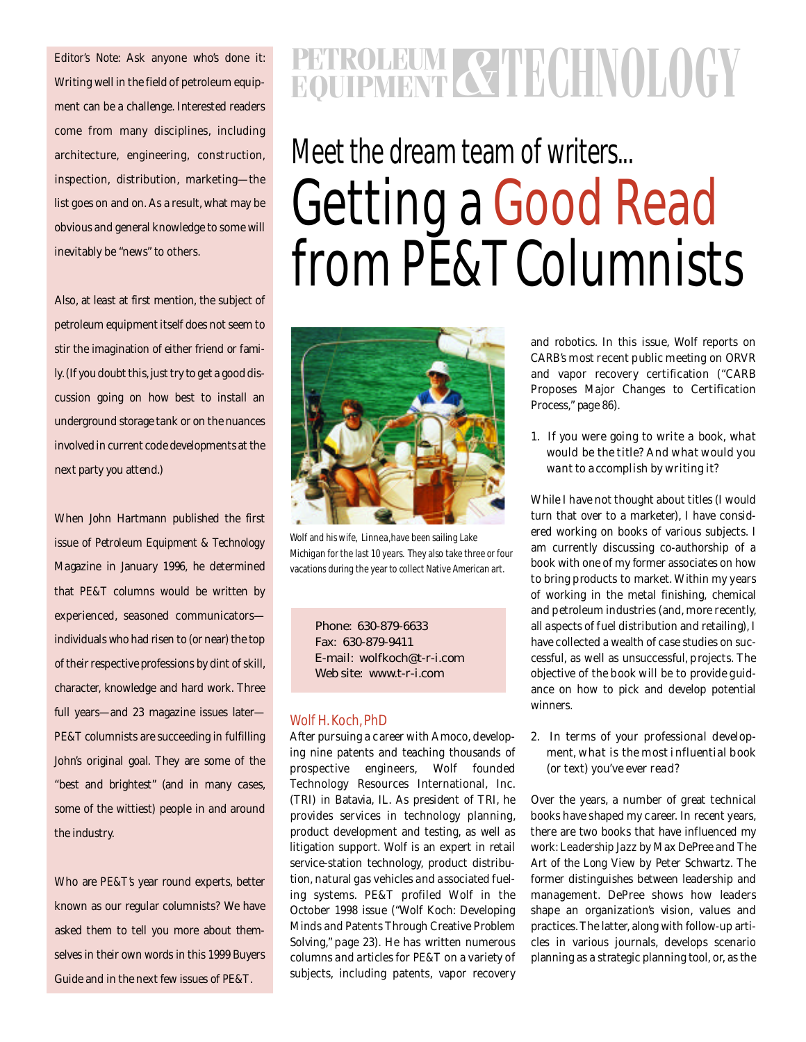*Editor's Note:* Ask anyone who's done it: Writing well in the field of petroleum equipment can be a challenge. Interested readers come from many disciplines, including architecture, engineering, construction, inspection, distribution, marketing-the list goes on and on. As a result, what may be obvious and general knowledge to some will inevitably be "news" to others.

Also, at least at first mention, the subject of petroleum equipment itself does not seem to stir the imagination of either friend or family. (If you doubt this, just try to get a good discussion going on how best to install an underground storage tank or on the nuances involved in current code developments at the next party you attend.)

When John Hartmann published the first issue of *Petroleum Equipment & Technology* Magazine in January 1996, he determined that *PE&T* columns would be written by experienced, seasoned communicatorsindividuals who had risen to (or near) the top of their respective professions by dint of skill, character, knowledge and hard work. Three full years-and 23 magazine issues later-*PE&T* columnists are succeeding in fulfilling John's original goal. They are some of the "best and brightest" (and in many cases, some of the wittiest) people in and around the industry.

Who are *PE&T's* year round experts, better known as our regular columnists? We have asked them to tell you more about themselves in their own words in this 1999 Buyers Guide and in the next few issues of *PE&T*.

# **EQUIPMENT & TECHNOLOGY**

# Meet the dream team of writers... **Getting a Good Read** from *PE&T* Columnists



Wolf and his wife, Linnea, have been sailing Lake Michigan for the last 10 years. They also take three or four vacations during the year to collect Native American art.

Phone: 630-879-6633 Fax: 630-879-9411 E-mail: wolfkoch@t-r-i.com Web site: www.t-r-i.com

#### Wolf H. Koch, PhD

After pursuing a career with Amoco, developing nine patents and teaching thousands of prospective engineers, Wolf founded Technology Resources International, Inc. (TRI) in Batavia, IL. As president of TRI, he provides services in technology planning, product development and testing, as well as litigation support. Wolf is an expert in retail service-station technology, product distribution, natural gas vehicles and associated fueling systems. PE&T profiled Wolf in the October 1998 issue ("Wolf Koch: Developing Minds and Patents Through Creative Problem Solving," page 23). He has written numerous columns and articles for *PE&T* on a variety of subjects, including patents, vapor recovery

and robotics. In this issue, Wolf reports on CARB's most recent public meeting on ORVR and vapor recovery certification ("CARB Proposes Major Changes to Certification Process," page 86).

# *1. If you were going to write a book, what would be the title? And what would you want to accomplish by writing it?*

While I have not thought about titles (I would turn that over to a marketer), I have considered working on books of various subjects. I am currently discussing co-authorship of a book with one of my former associates on how to bring products to market. Within my years of working in the metal finishing, chemical and petroleum industries (and, more recently, all aspects of fuel distribution and retailing), I have collected a wealth of case studies on successful, as well as unsuccessful, projects. The objective of the book will be to provide guidance on how to pick and develop potential winners.

# *2. In terms of your professional development, what is the most influential book (or text) you've ever read?*

Over the years, a number of great technical books have shaped my career. In recent years, there are two books that have influenced my work: *Leadership Jazz* by Max DePree and *The Art of the Long View* by Peter Schwartz. The former distinguishes between leadership and management. DePree shows how leaders shape an organization's vision, values and practices. The latter, along with follow-up articles in various journals, develops scenario planning as a strategic planning tool, or, as the